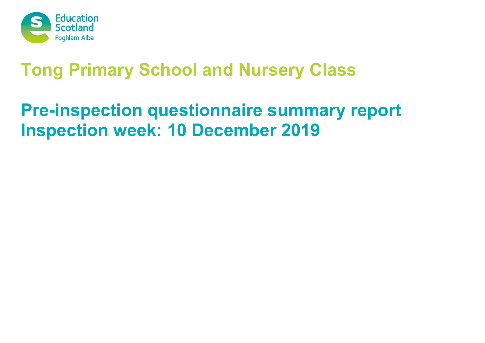

# **Tong Primary School and Nursery Class**

# **Pre-inspection questionnaire summary report Inspection week: 10 December 2019**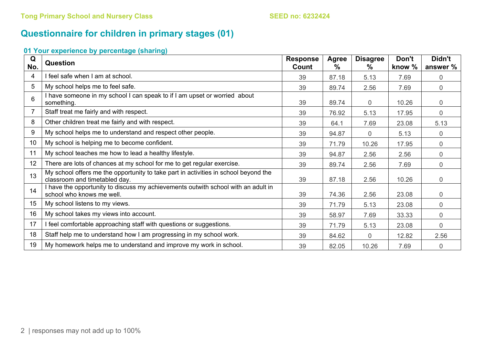## **Questionnaire for children in primary stages (01)**

### **01 Your experience by percentage (sharing)**

| Q<br>No.        | <b>Question</b>                                                                                                      | <b>Response</b><br>Count | <b>Agree</b><br>$\%$ | <b>Disagree</b><br>℅ | Don't<br>know % | Didn't<br>answer % |
|-----------------|----------------------------------------------------------------------------------------------------------------------|--------------------------|----------------------|----------------------|-----------------|--------------------|
| 4               | feel safe when I am at school.                                                                                       | 39                       | 87.18                | 5.13                 | 7.69            | 0                  |
| 5               | My school helps me to feel safe.                                                                                     | 39                       | 89.74                | 2.56                 | 7.69            | $\overline{0}$     |
| 6               | I have someone in my school I can speak to if I am upset or worried about<br>something.                              | 39                       | 89.74                | 0                    | 10.26           | $\overline{0}$     |
| 7               | Staff treat me fairly and with respect.                                                                              | 39                       | 76.92                | 5.13                 | 17.95           | $\overline{0}$     |
| 8               | Other children treat me fairly and with respect.                                                                     | 39                       | 64.1                 | 7.69                 | 23.08           | 5.13               |
| 9               | My school helps me to understand and respect other people.                                                           | 39                       | 94.87                | $\overline{0}$       | 5.13            | 0                  |
| 10 <sup>°</sup> | My school is helping me to become confident.                                                                         | 39                       | 71.79                | 10.26                | 17.95           | $\overline{0}$     |
| 11              | My school teaches me how to lead a healthy lifestyle.                                                                | 39                       | 94.87                | 2.56                 | 2.56            | 0                  |
| 12 <sub>2</sub> | There are lots of chances at my school for me to get regular exercise.                                               | 39                       | 89.74                | 2.56                 | 7.69            | $\mathbf 0$        |
| 13              | My school offers me the opportunity to take part in activities in school beyond the<br>classroom and timetabled day. | 39                       | 87.18                | 2.56                 | 10.26           | $\mathbf 0$        |
| 14              | I have the opportunity to discuss my achievements outwith school with an adult in<br>school who knows me well.       | 39                       | 74.36                | 2.56                 | 23.08           | $\mathbf 0$        |
| 15              | My school listens to my views.                                                                                       | 39                       | 71.79                | 5.13                 | 23.08           | $\overline{0}$     |
| 16              | My school takes my views into account.                                                                               | 39                       | 58.97                | 7.69                 | 33.33           | $\boldsymbol{0}$   |
| 17              | I feel comfortable approaching staff with questions or suggestions.                                                  | 39                       | 71.79                | 5.13                 | 23.08           | $\mathbf 0$        |
| 18              | Staff help me to understand how I am progressing in my school work.                                                  | 39                       | 84.62                | $\overline{0}$       | 12.82           | 2.56               |
| 19              | My homework helps me to understand and improve my work in school.                                                    | 39                       | 82.05                | 10.26                | 7.69            | $\mathbf 0$        |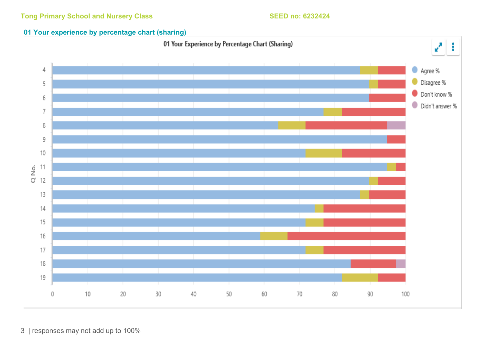### **01 Your experience by percentage chart (sharing)**



3 | responses may not add up to 100%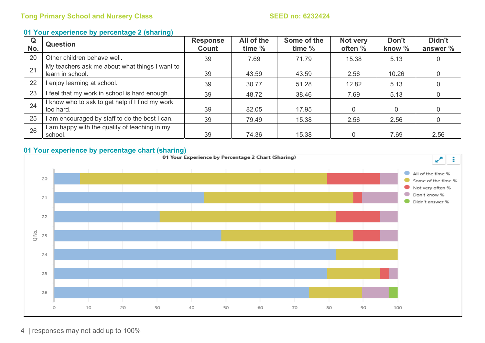### **01 Your experience by percentage 2 (sharing)**

| Q<br>No. | <b>Question</b>                                                    | <b>Response</b><br>Count | All of the<br>time % | Some of the<br>time % | Not very<br>often % | Don't<br>know % | Didn't<br>answer % |
|----------|--------------------------------------------------------------------|--------------------------|----------------------|-----------------------|---------------------|-----------------|--------------------|
| 20       | Other children behave well.                                        | 39                       | 7.69                 | 71.79                 | 15.38               | 5.13            |                    |
| 21       | My teachers ask me about what things I want to<br>learn in school. | 39                       | 43.59                | 43.59                 | 2.56                | 10.26           |                    |
| 22       | l enjoy learning at school.                                        | 39                       | 30.77                | 51.28                 | 12.82               | 5.13            |                    |
| 23       | I feel that my work in school is hard enough.                      | 39                       | 48.72                | 38.46                 | 7.69                | 5.13            |                    |
| 24       | I know who to ask to get help if I find my work<br>too hard.       | 39                       | 82.05                | 17.95                 | 0                   | $\overline{0}$  |                    |
| 25       | I am encouraged by staff to do the best I can.                     | 39                       | 79.49                | 15.38                 | 2.56                | 2.56            |                    |
| 26       | I am happy with the quality of teaching in my<br>school.           | 39                       | 74.36                | 15.38                 | $\Omega$            | 7.69            | 2.56               |



4 | responses may not add up to 100%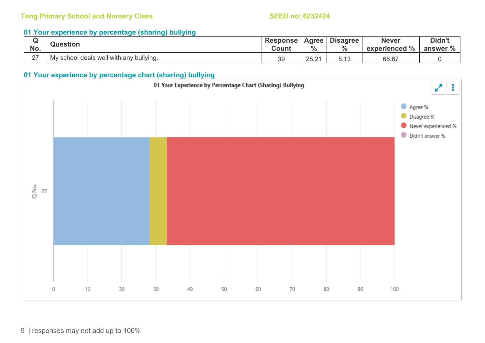### **Tong Primary School and Nursery Class SEED no: 6232424 SEED no: 6232424**

### **01 Your experience by percentage (sharing) bullying**

| No.    | <b>Question</b>                         | <b>Response</b><br>Count | Agree  <br>7٥ | <b>Disagree</b><br>$\frac{0}{0}$ | <b>Never</b><br>experienced % | Didn't<br>answer % |
|--------|-----------------------------------------|--------------------------|---------------|----------------------------------|-------------------------------|--------------------|
| $\sim$ | My school deals well with any bullying. | 39                       | 28.21         | ∪. ⊥∪                            | 66.67                         |                    |

### **01 Your experience by percentage chart (sharing) bullying**

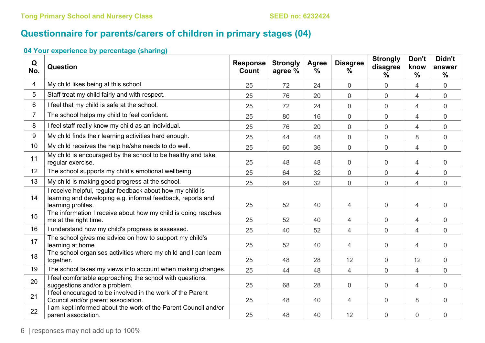# **Questionnaire for parents/carers of children in primary stages (04)**

### **04 Your experience by percentage (sharing)**

| Q<br>No.       | Question                                                                                                                                       | <b>Response</b><br>Count | <b>Strongly</b><br>agree % | <b>Agree</b><br>$\%$ | <b>Disagree</b><br>$\%$ | <b>Strongly</b><br>disagree<br>% | Don't<br>know<br>$\frac{0}{0}$ | Didn't<br>answer<br>$\frac{9}{6}$ |
|----------------|------------------------------------------------------------------------------------------------------------------------------------------------|--------------------------|----------------------------|----------------------|-------------------------|----------------------------------|--------------------------------|-----------------------------------|
| $\overline{4}$ | My child likes being at this school.                                                                                                           | 25                       | 72                         | 24                   | $\overline{0}$          | $\overline{0}$                   | $\overline{4}$                 | $\overline{0}$                    |
| 5              | Staff treat my child fairly and with respect.                                                                                                  | 25                       | 76                         | 20                   | $\mathbf 0$             | $\boldsymbol{0}$                 | $\overline{4}$                 | $\overline{0}$                    |
| 6              | I feel that my child is safe at the school.                                                                                                    | 25                       | 72                         | 24                   | $\overline{0}$          | $\mathbf 0$                      | $\overline{4}$                 | $\overline{0}$                    |
| $\overline{7}$ | The school helps my child to feel confident.                                                                                                   | 25                       | 80                         | 16                   | $\overline{0}$          | $\overline{0}$                   | 4                              | 0                                 |
| 8              | I feel staff really know my child as an individual.                                                                                            | 25                       | 76                         | 20                   | $\mathbf 0$             | $\overline{0}$                   | $\overline{4}$                 | $\overline{0}$                    |
| 9              | My child finds their learning activities hard enough.                                                                                          | 25                       | 44                         | 48                   | $\mathbf 0$             | $\overline{0}$                   | 8                              | $\overline{0}$                    |
| 10             | My child receives the help he/she needs to do well.                                                                                            | 25                       | 60                         | 36                   | $\mathbf 0$             | $\mathsf{O}\xspace$              | $\overline{4}$                 | $\mathsf{O}\xspace$               |
| 11             | My child is encouraged by the school to be healthy and take<br>regular exercise.                                                               | 25                       | 48                         | 48                   | $\boldsymbol{0}$        | $\overline{0}$                   | 4                              | 0                                 |
| 12             | The school supports my child's emotional wellbeing.                                                                                            | 25                       | 64                         | 32                   | $\mathbf 0$             | $\overline{0}$                   | $\overline{4}$                 | $\overline{0}$                    |
| 13             | My child is making good progress at the school.                                                                                                | 25                       | 64                         | 32                   | $\mathbf 0$             | $\overline{0}$                   | $\overline{4}$                 | $\overline{0}$                    |
| 14             | I receive helpful, regular feedback about how my child is<br>learning and developing e.g. informal feedback, reports and<br>learning profiles. | 25                       | 52                         | 40                   | 4                       | $\overline{0}$                   | 4                              | $\overline{0}$                    |
| 15             | The information I receive about how my child is doing reaches<br>me at the right time.                                                         | 25                       | 52                         | 40                   | 4                       | $\boldsymbol{0}$                 | $\overline{4}$                 | 0                                 |
| 16             | I understand how my child's progress is assessed.                                                                                              | 25                       | 40                         | 52                   | 4                       | 0                                | $\overline{4}$                 | 0                                 |
| 17             | The school gives me advice on how to support my child's<br>learning at home.                                                                   | 25                       | 52                         | 40                   | 4                       | $\boldsymbol{0}$                 | $\overline{4}$                 | 0                                 |
| 18             | The school organises activities where my child and I can learn<br>together.                                                                    | 25                       | 48                         | 28                   | 12                      | $\overline{0}$                   | 12                             | 0                                 |
| 19             | The school takes my views into account when making changes.                                                                                    | 25                       | 44                         | 48                   | $\overline{4}$          | $\overline{0}$                   | $\overline{4}$                 | $\overline{0}$                    |
| 20             | I feel comfortable approaching the school with questions,<br>suggestions and/or a problem.                                                     | 25                       | 68                         | 28                   | $\mathbf 0$             | $\overline{0}$                   | $\overline{4}$                 | $\overline{0}$                    |
| 21             | I feel encouraged to be involved in the work of the Parent<br>Council and/or parent association.                                               | 25                       | 48                         | 40                   | $\overline{4}$          | $\overline{0}$                   | 8                              | $\overline{0}$                    |
| 22             | I am kept informed about the work of the Parent Council and/or<br>parent association.                                                          | 25                       | 48                         | 40                   | 12                      | 0                                | $\mathbf 0$                    | $\overline{0}$                    |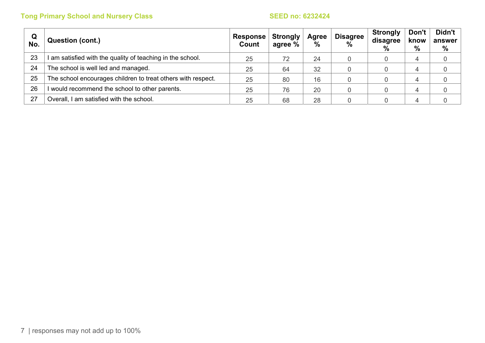## **Tong Primary School and Nursery Class SEED no: 6232424 SEED no: 6232424**

| Q<br>No. | Question (cont.)                                             | Response  <br>Count | <b>Strongly</b><br>agree % | Agree<br>$\%$ | <b>Disagree</b><br>$\frac{9}{6}$ | <b>Strongly</b><br>disagree<br>% | Don't<br>know<br>% | Didn't<br>answer<br>% |
|----------|--------------------------------------------------------------|---------------------|----------------------------|---------------|----------------------------------|----------------------------------|--------------------|-----------------------|
| 23       | I am satisfied with the quality of teaching in the school.   | 25                  | 72                         | 24            |                                  |                                  | 4                  |                       |
| 24       | The school is well led and managed.                          | 25                  | 64                         | 32            |                                  |                                  |                    |                       |
| 25       | The school encourages children to treat others with respect. | 25                  | 80                         | 16            |                                  |                                  |                    |                       |
| 26       | I would recommend the school to other parents.               | 25                  | 76                         | 20            |                                  |                                  |                    |                       |
| 27       | Overall, I am satisfied with the school.                     | 25                  | 68                         | 28            |                                  |                                  |                    |                       |